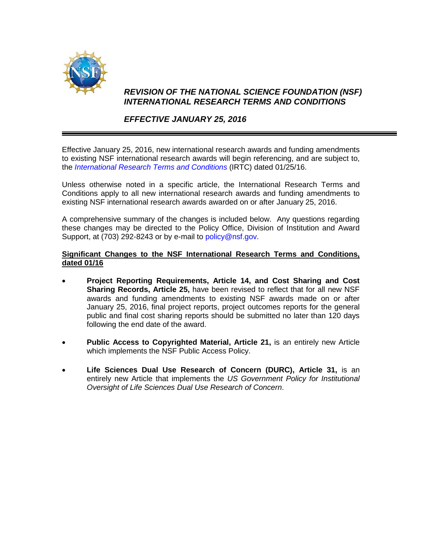

## *REVISION OF THE NATIONAL SCIENCE FOUNDATION (NSF) INTERNATIONAL RESEARCH TERMS AND CONDITIONS*

## *EFFECTIVE JANUARY 25, 2016*

Effective January 25, 2016, new international research awards and funding amendments to existing NSF international research awards will begin referencing, and are subject to, the *[International Research Terms and Conditions](http://www.nsf.gov/pubs/policydocs/rtc/irtc/116.pdf)* (IRTC) dated 01/25/16.

Unless otherwise noted in a specific article, the International Research Terms and Conditions apply to all new international research awards and funding amendments to existing NSF international research awards awarded on or after January 25, 2016.

A comprehensive summary of the changes is included below. Any questions regarding these changes may be directed to the Policy Office, Division of Institution and Award Support, at (703) 292-8243 or by e-mail to [policy@nsf.gov.](mailto:policy@nsf.gov)

## **Significant Changes to the NSF International Research Terms and Conditions, dated 01/16**

- **Project Reporting Requirements, Article 14, and Cost Sharing and Cost Sharing Records, Article 25,** have been revised to reflect that for all new NSF awards and funding amendments to existing NSF awards made on or after January 25, 2016, final project reports, project outcomes reports for the general public and final cost sharing reports should be submitted no later than 120 days following the end date of the award.
- **Public Access to Copyrighted Material, Article 21,** is an entirely new Article which implements the NSF Public Access Policy.
- **Life Sciences Dual Use Research of Concern (DURC), Article 31,** is an entirely new Article that implements the *US Government Policy for Institutional Oversight of Life Sciences Dual Use Research of Concern*.